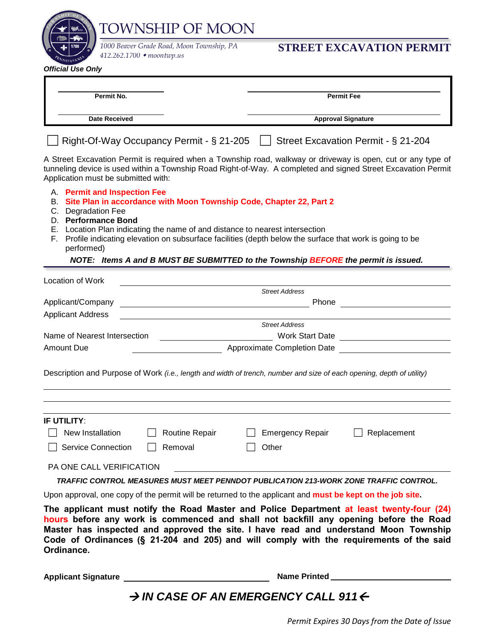|                                                                           | <b>TOWNSHIP OF MOON</b>                                                                                                                                                                                                                                                                                                                                               |                         |                                            |  |  |  |
|---------------------------------------------------------------------------|-----------------------------------------------------------------------------------------------------------------------------------------------------------------------------------------------------------------------------------------------------------------------------------------------------------------------------------------------------------------------|-------------------------|--------------------------------------------|--|--|--|
| <b>Official Use Only</b>                                                  | 1000 Beaver Grade Road, Moon Township, PA<br>412.262.1700 ◆ moontwp.us                                                                                                                                                                                                                                                                                                |                         | <b>STREET EXCAVATION PERMIT</b>            |  |  |  |
|                                                                           |                                                                                                                                                                                                                                                                                                                                                                       |                         |                                            |  |  |  |
| Permit No.                                                                |                                                                                                                                                                                                                                                                                                                                                                       |                         | <b>Permit Fee</b>                          |  |  |  |
| <b>Date Received</b>                                                      |                                                                                                                                                                                                                                                                                                                                                                       |                         | <b>Approval Signature</b>                  |  |  |  |
|                                                                           | Right-Of-Way Occupancy Permit - § 21-205                                                                                                                                                                                                                                                                                                                              |                         | Street Excavation Permit - § 21-204        |  |  |  |
| Application must be submitted with:                                       | A Street Excavation Permit is required when a Township road, walkway or driveway is open, cut or any type of<br>tunneling device is used within a Township Road Right-of-Way. A completed and signed Street Excavation Permit                                                                                                                                         |                         |                                            |  |  |  |
| A. Permit and Inspection Fee<br>C. Degradation Fee<br>D. Performance Bond | B. Site Plan in accordance with Moon Township Code, Chapter 22, Part 2                                                                                                                                                                                                                                                                                                |                         |                                            |  |  |  |
| performed)                                                                | E. Location Plan indicating the name of and distance to nearest intersection<br>F. Profile indicating elevation on subsurface facilities (depth below the surface that work is going to be                                                                                                                                                                            |                         |                                            |  |  |  |
|                                                                           | NOTE: Items A and B MUST BE SUBMITTED to the Township BEFORE the permit is issued.                                                                                                                                                                                                                                                                                    |                         |                                            |  |  |  |
| Location of Work                                                          |                                                                                                                                                                                                                                                                                                                                                                       |                         |                                            |  |  |  |
|                                                                           |                                                                                                                                                                                                                                                                                                                                                                       | <b>Street Address</b>   |                                            |  |  |  |
| Applicant/Company<br><b>Applicant Address</b>                             | <u> 1980 - Johann Barbara, martin amerikan personal (</u>                                                                                                                                                                                                                                                                                                             |                         |                                            |  |  |  |
|                                                                           |                                                                                                                                                                                                                                                                                                                                                                       | <b>Street Address</b>   |                                            |  |  |  |
| Name of Nearest Intersection                                              |                                                                                                                                                                                                                                                                                                                                                                       |                         | Work Start Date <u>New York Start Date</u> |  |  |  |
| Amount Due                                                                | <b>Approximate Completion Date</b>                                                                                                                                                                                                                                                                                                                                    |                         |                                            |  |  |  |
|                                                                           | Description and Purpose of Work (i.e., length and width of trench, number and size of each opening, depth of utility)                                                                                                                                                                                                                                                 |                         |                                            |  |  |  |
| IF UTILITY:                                                               |                                                                                                                                                                                                                                                                                                                                                                       |                         |                                            |  |  |  |
| New Installation                                                          | Routine Repair                                                                                                                                                                                                                                                                                                                                                        | <b>Emergency Repair</b> | Replacement                                |  |  |  |
| <b>Service Connection</b>                                                 | Removal                                                                                                                                                                                                                                                                                                                                                               | Other                   |                                            |  |  |  |
| PA ONE CALL VERIFICATION                                                  |                                                                                                                                                                                                                                                                                                                                                                       |                         |                                            |  |  |  |
|                                                                           | TRAFFIC CONTROL MEASURES MUST MEET PENNDOT PUBLICATION 213-WORK ZONE TRAFFIC CONTROL.                                                                                                                                                                                                                                                                                 |                         |                                            |  |  |  |
|                                                                           | Upon approval, one copy of the permit will be returned to the applicant and must be kept on the job site.                                                                                                                                                                                                                                                             |                         |                                            |  |  |  |
| Ordinance.                                                                | The applicant must notify the Road Master and Police Department at least twenty-four (24)<br>hours before any work is commenced and shall not backfill any opening before the Road<br>Master has inspected and approved the site. I have read and understand Moon Township<br>Code of Ordinances (§ 21-204 and 205) and will comply with the requirements of the said |                         |                                            |  |  |  |
| <b>Applicant Signature</b>                                                |                                                                                                                                                                                                                                                                                                                                                                       | Name Printed            |                                            |  |  |  |

## → IN CASE OF AN EMERGENCY CALL 911←